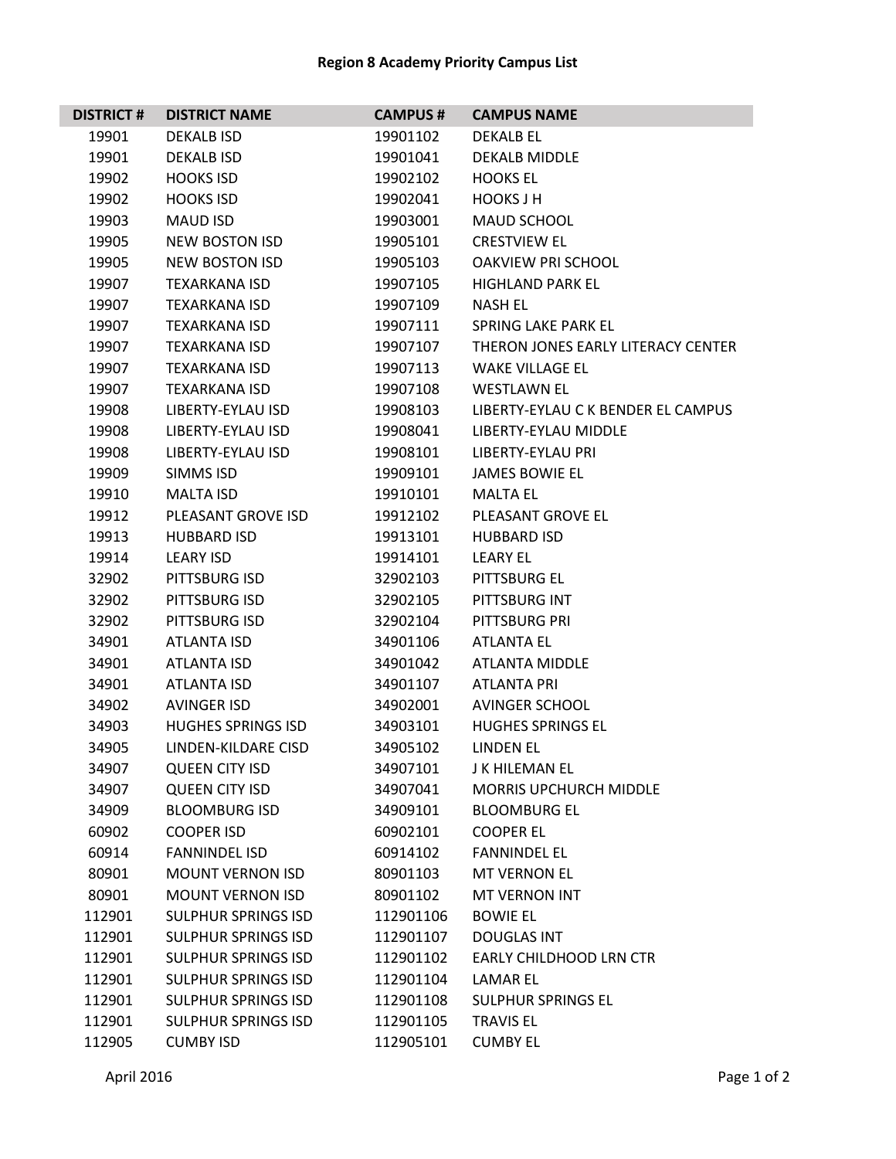## **Region 8 Academy Priority Campus List**

| <b>DISTRICT#</b> | <b>DISTRICT NAME</b>       | <b>CAMPUS#</b> | <b>CAMPUS NAME</b>                 |
|------------------|----------------------------|----------------|------------------------------------|
| 19901            | <b>DEKALB ISD</b>          | 19901102       | <b>DEKALB EL</b>                   |
| 19901            | <b>DEKALB ISD</b>          | 19901041       | <b>DEKALB MIDDLE</b>               |
| 19902            | <b>HOOKS ISD</b>           | 19902102       | <b>HOOKS EL</b>                    |
| 19902            | <b>HOOKS ISD</b>           | 19902041       | <b>HOOKS J H</b>                   |
| 19903            | <b>MAUD ISD</b>            | 19903001       | MAUD SCHOOL                        |
| 19905            | <b>NEW BOSTON ISD</b>      | 19905101       | <b>CRESTVIEW EL</b>                |
| 19905            | <b>NEW BOSTON ISD</b>      | 19905103       | <b>OAKVIEW PRI SCHOOL</b>          |
| 19907            | <b>TEXARKANA ISD</b>       | 19907105       | <b>HIGHLAND PARK EL</b>            |
| 19907            | <b>TEXARKANA ISD</b>       | 19907109       | <b>NASH EL</b>                     |
| 19907            | <b>TEXARKANA ISD</b>       | 19907111       | SPRING LAKE PARK EL                |
| 19907            | <b>TEXARKANA ISD</b>       | 19907107       | THERON JONES EARLY LITERACY CENTER |
| 19907            | <b>TEXARKANA ISD</b>       | 19907113       | <b>WAKE VILLAGE EL</b>             |
| 19907            | <b>TEXARKANA ISD</b>       | 19907108       | <b>WESTLAWN EL</b>                 |
| 19908            | LIBERTY-EYLAU ISD          | 19908103       | LIBERTY-EYLAU C K BENDER EL CAMPUS |
| 19908            | LIBERTY-EYLAU ISD          | 19908041       | <b>LIBERTY-EYLAU MIDDLE</b>        |
| 19908            | LIBERTY-EYLAU ISD          | 19908101       | LIBERTY-EYLAU PRI                  |
| 19909            | SIMMS ISD                  | 19909101       | <b>JAMES BOWIE EL</b>              |
| 19910            | <b>MALTA ISD</b>           | 19910101       | <b>MALTA FL</b>                    |
| 19912            | PLEASANT GROVE ISD         | 19912102       | PLEASANT GROVE EL                  |
| 19913            | <b>HUBBARD ISD</b>         | 19913101       | <b>HUBBARD ISD</b>                 |
| 19914            | <b>LEARY ISD</b>           | 19914101       | <b>LEARY EL</b>                    |
| 32902            | PITTSBURG ISD              | 32902103       | PITTSBURG EL                       |
| 32902            | PITTSBURG ISD              | 32902105       | PITTSBURG INT                      |
| 32902            | PITTSBURG ISD              | 32902104       | PITTSBURG PRI                      |
| 34901            | <b>ATLANTA ISD</b>         | 34901106       | <b>ATLANTA EL</b>                  |
| 34901            | ATLANTA ISD                | 34901042       | <b>ATLANTA MIDDLE</b>              |
| 34901            | ATLANTA ISD                | 34901107       | ATLANTA PRI                        |
| 34902            | <b>AVINGER ISD</b>         | 34902001       | <b>AVINGER SCHOOL</b>              |
| 34903            | <b>HUGHES SPRINGS ISD</b>  | 34903101       | <b>HUGHES SPRINGS EL</b>           |
| 34905            | LINDEN-KILDARE CISD        | 34905102       | LINDEN EL                          |
| 34907            | <b>QUEEN CITY ISD</b>      | 34907101       | <b>J K HILEMAN EL</b>              |
| 34907            | <b>QUEEN CITY ISD</b>      | 34907041       | <b>MORRIS UPCHURCH MIDDLE</b>      |
| 34909            | <b>BLOOMBURG ISD</b>       | 34909101       | <b>BLOOMBURG EL</b>                |
| 60902            | <b>COOPER ISD</b>          | 60902101       | <b>COOPER EL</b>                   |
| 60914            | <b>FANNINDEL ISD</b>       | 60914102       | <b>FANNINDEL EL</b>                |
| 80901            | <b>MOUNT VERNON ISD</b>    | 80901103       | <b>MT VERNON EL</b>                |
| 80901            | <b>MOUNT VERNON ISD</b>    | 80901102       | <b>MT VERNON INT</b>               |
| 112901           | <b>SULPHUR SPRINGS ISD</b> | 112901106      | <b>BOWIE EL</b>                    |
| 112901           | <b>SULPHUR SPRINGS ISD</b> | 112901107      | <b>DOUGLAS INT</b>                 |
| 112901           | <b>SULPHUR SPRINGS ISD</b> | 112901102      | <b>EARLY CHILDHOOD LRN CTR</b>     |
| 112901           | <b>SULPHUR SPRINGS ISD</b> | 112901104      | LAMAR EL                           |
| 112901           | <b>SULPHUR SPRINGS ISD</b> | 112901108      | <b>SULPHUR SPRINGS EL</b>          |
| 112901           | <b>SULPHUR SPRINGS ISD</b> | 112901105      | <b>TRAVIS EL</b>                   |
| 112905           | <b>CUMBY ISD</b>           | 112905101      | <b>CUMBY EL</b>                    |